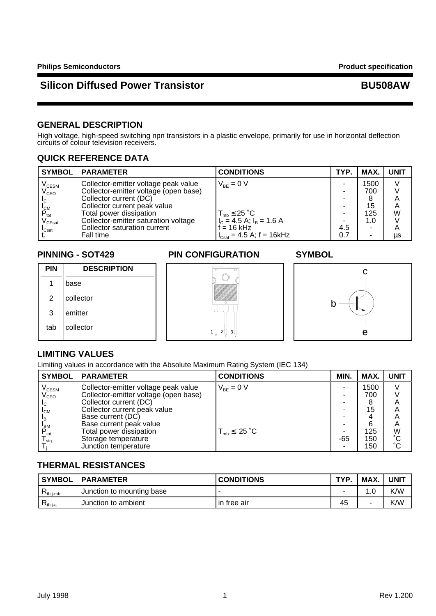### **GENERAL DESCRIPTION**

High voltage, high-speed switching npn transistors in a plastic envelope, primarily for use in horizontal deflection circuits of colour television receivers.

### **QUICK REFERENCE DATA**

| <b>SYMBOL</b>                          | <b>IPARAMETER</b>                     | <b>CONDITIONS</b>                                     | TYP. | MAX. | <b>UNIT</b> |
|----------------------------------------|---------------------------------------|-------------------------------------------------------|------|------|-------------|
| $V_{\text{CESM}}$<br>$V_{\text{CEO}}$  | Collector-emitter voltage peak value  | $V_{BE} = 0 V$                                        |      | 1500 | V           |
|                                        | Collector-emitter voltage (open base) |                                                       |      | 700  |             |
| I <sub>C</sub>                         | Collector current (DC)                |                                                       |      |      | Α           |
| <b>I</b> <sub>CM</sub>                 | Collector current peak value          |                                                       |      | 15   | A           |
| $P_{\text{tot}}$                       | Total power dissipation               |                                                       |      | 125  | W           |
| $\mathsf{V}_{\mathsf{C}\mathsf{East}}$ | Collector-emitter saturation voltage  | $T_{mb} \le 25$ °C<br>$I_c = 4.5$ A; $I_B = 1.6$ A    |      | 1.0  |             |
| $\mathsf{I}_{\mathsf{Csat}}$           | Collector saturation current          | $f = 16$ kHz                                          | 4.5  | ٠    | A           |
|                                        | Fall time                             | $I_{\text{Csat}} = 4.5 \text{ A}; f = 16 \text{ kHz}$ | 0.7  | ٠    | μs          |

### **PINNING - SOT429 PIN CONFIGURATION SYMBOL**

| <b>PIN</b> | <b>DESCRIPTION</b> |
|------------|--------------------|
|            | base               |
| 2          | collector          |
| 3          | emitter            |
| tab        | collector          |





### **LIMITING VALUES**

Limiting values in accordance with the Absolute Maximum Rating System (IEC 134)

| <b>SYMBOL</b>               | <b>PARAMETER</b>                      | <b>CONDITIONS</b>                 | MIN. | MAX. | <b>UNIT</b> |
|-----------------------------|---------------------------------------|-----------------------------------|------|------|-------------|
| $\rm V_{\rm CESM}$          | Collector-emitter voltage peak value  | $V_{BF} = 0 V$                    |      | 1500 |             |
| $\rm V_{CEO}$               | Collector-emitter voltage (open base) |                                   |      | 700  |             |
| <sub>IC</sub>               | Collector current (DC)                |                                   |      | 8    |             |
| $I_{CM}$                    | Collector current peak value          |                                   |      | 15   |             |
| ι <sub>Β</sub>              | Base current (DC)                     |                                   |      |      | Α           |
|                             | Base current peak value               |                                   |      | 6    | A           |
| $P_{\text{tot}}$            | Total power dissipation               | $T_{\text{mb}} \leq 25 \degree C$ | -    | 125  | W           |
| $\mathsf{I}_{\mathsf{stq}}$ | Storage temperature                   |                                   | -65  | 150  | °С          |
|                             | Junction temperature                  |                                   |      | 150  | °С          |

### **THERMAL RESISTANCES**

| ' SYMBOL        | <b>IPARAMETER</b>         | <b>CONDITIONS</b> | TYP. | <b>MAX</b> | UNIT |
|-----------------|---------------------------|-------------------|------|------------|------|
| th i-mb         | Junction to mounting base |                   |      |            | K/W  |
| $\nabla$ th i-a | Junction to ambient       | l in free air     | 45   |            | K/W  |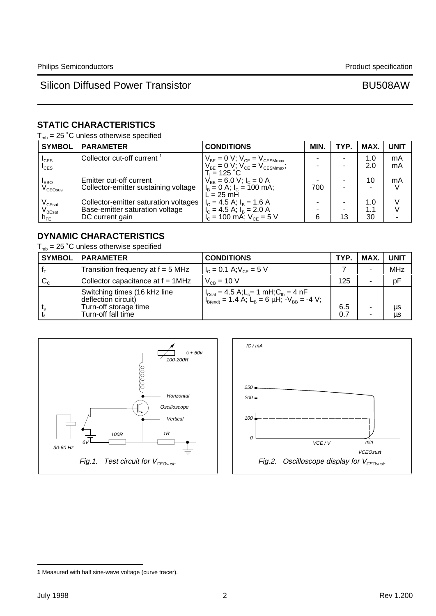# **STATIC CHARACTERISTICS**

 $T_{mb}$  = 25 °C unless otherwise specified

| <b>SYMBOL</b>                          | <b>PARAMETER</b>                      | <b>CONDITIONS</b>                                                                                                                                           | MIN. | TYP. | <b>MAX</b> | <b>UNIT</b> |
|----------------------------------------|---------------------------------------|-------------------------------------------------------------------------------------------------------------------------------------------------------------|------|------|------------|-------------|
| $I_{CES}$                              | Collector cut-off current             | $\begin{array}{c} V_{\text{BE}}=0 \text{ V};\ V_{\text{CE}}=V_{\text{CESMmax}}\\ V_{\text{BE}}=0 \text{ V};\ V_{\text{CE}}=V_{\text{CESMmax}}; \end{array}$ |      |      | 1.0        | mA          |
| $I_{CES}$                              |                                       |                                                                                                                                                             |      |      | 2.0        | mA          |
| <b>EBO</b>                             | Emitter cut-off current               | $T_i = 125 °C$<br>$V_{EB} = 6.0 V$ ; $I_C = 0 A$                                                                                                            |      |      | 10         | mA          |
| $\rm V_{CEOsus}$                       | Collector-emitter sustaining voltage  | $I_B = 0$ A; $I_C = 100$ mA;<br>$\overline{L}$ = 25 mH                                                                                                      | 700  |      |            |             |
| $\mathsf{V}_{\mathsf{C}\mathsf{East}}$ | Collector-emitter saturation voltages | $I_c = 4.5$ A; $I_B = 1.6$ A                                                                                                                                |      |      | 1.0        |             |
| $\mathsf{V}_{\mathsf{B}\mathsf{East}}$ | Base-emitter saturation voltage       | $I_c = 4.5$ A; $I_B = 2.0$ A                                                                                                                                |      |      | 1.1        |             |
| $n_{\text{\tiny FE}}$                  | DC current gain                       | $I_{C}$ = 100 mA; $V_{CF}$ = 5 V                                                                                                                            | 6    | 13   | 30         |             |

# **DYNAMIC CHARACTERISTICS**

 $T_{mb}$  = 25 °C unless otherwise specified

| <b>SYMBOL</b> | <b>PARAMETER</b>                                                                                   | <b>CONDITIONS</b>                                                                                                                                                                                                          | TYP.       | <b>MAX</b> | <b>UNIT</b> |
|---------------|----------------------------------------------------------------------------------------------------|----------------------------------------------------------------------------------------------------------------------------------------------------------------------------------------------------------------------------|------------|------------|-------------|
|               | Transition frequency at f = 5 MHz                                                                  | $I_c = 0.1$ A; $V_{CF} = 5$ V                                                                                                                                                                                              |            |            | <b>MHz</b>  |
| $C_{\rm c}$   | Collector capacitance at $f = 1$ MHz                                                               | $V_{CB} = 10 V$                                                                                                                                                                                                            | 125        |            | pF          |
|               | Switching times (16 kHz line<br>deflection circuit)<br>Turn-off storage time<br>Turn-off fall time | $\begin{cases}\nI_{\text{Csat}} = 4.5 \text{ A}; L_c = 1 \text{ mH}; C_{\text{fb}} = 4 \text{ nF} \\ I_{\text{B(end)}} = 1.4 \text{ A}; L_{\text{B}} = 6 \text{ }\mu\text{H}; -V_{\text{BB}} = -4 \text{ V};\n\end{cases}$ | 6.5<br>0.7 | ۰<br>۰     | μs<br>μs    |





**<sup>1</sup>** Measured with half sine-wave voltage (curve tracer).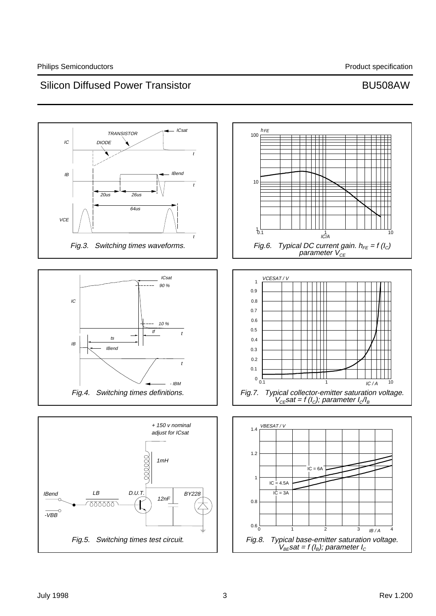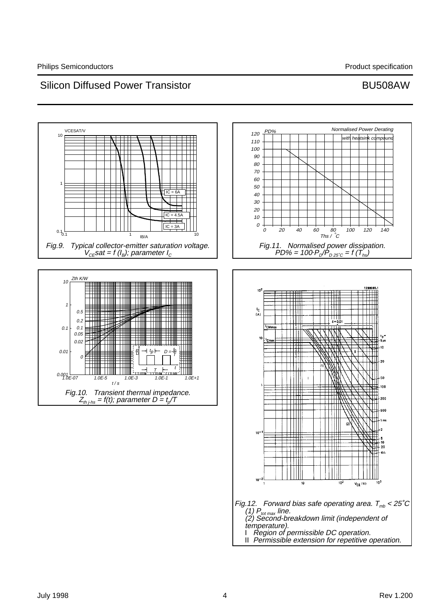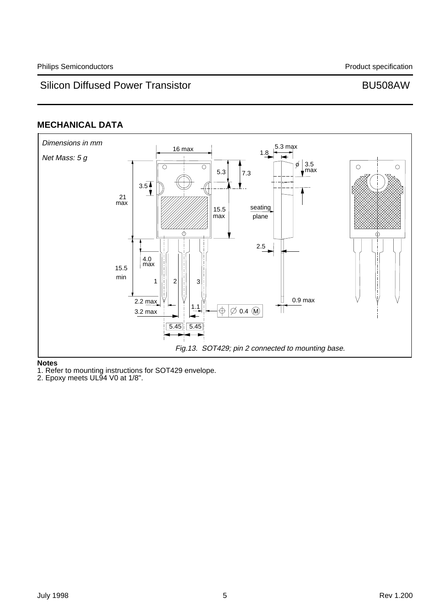# **MECHANICAL DATA**



### **Notes**

1. Refer to mounting instructions for SOT429 envelope.

2. Epoxy meets UL94 V0 at 1/8".